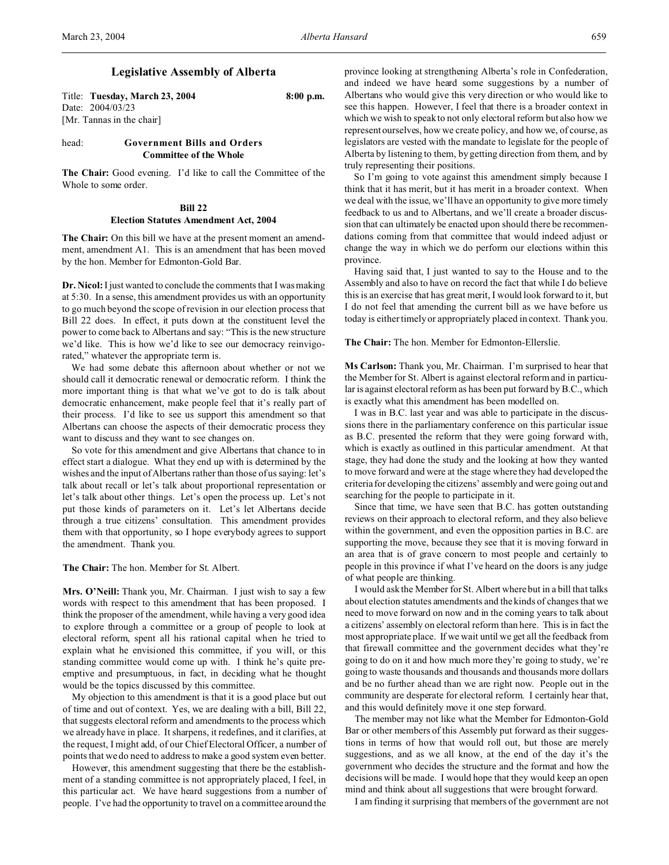# **Legislative Assembly of Alberta**

Title: **Tuesday, March 23, 2004 8:00 p.m.** Date: 2004/03/23 [Mr. Tannas in the chair]

# head: **Government Bills and Orders Committee of the Whole**

**The Chair:** Good evening. I'd like to call the Committee of the Whole to some order.

## **Bill 22**

# **Election Statutes Amendment Act, 2004**

**The Chair:** On this bill we have at the present moment an amendment, amendment A1. This is an amendment that has been moved by the hon. Member for Edmonton-Gold Bar.

**Dr. Nicol:** I just wanted to conclude the comments that I was making at 5:30. In a sense, this amendment provides us with an opportunity to go much beyond the scope of revision in our election process that Bill 22 does. In effect, it puts down at the constituent level the power to come back to Albertans and say: "This is the new structure we'd like. This is how we'd like to see our democracy reinvigorated," whatever the appropriate term is.

We had some debate this afternoon about whether or not we should call it democratic renewal or democratic reform. I think the more important thing is that what we've got to do is talk about democratic enhancement, make people feel that it's really part of their process. I'd like to see us support this amendment so that Albertans can choose the aspects of their democratic process they want to discuss and they want to see changes on.

So vote for this amendment and give Albertans that chance to in effect start a dialogue. What they end up with is determined by the wishes and the input of Albertans rather than those of us saying: let's talk about recall or let's talk about proportional representation or let's talk about other things. Let's open the process up. Let's not put those kinds of parameters on it. Let's let Albertans decide through a true citizens' consultation. This amendment provides them with that opportunity, so I hope everybody agrees to support the amendment. Thank you.

**The Chair:** The hon. Member for St. Albert.

**Mrs. O'Neill:** Thank you, Mr. Chairman. I just wish to say a few words with respect to this amendment that has been proposed. I think the proposer of the amendment, while having a very good idea to explore through a committee or a group of people to look at electoral reform, spent all his rational capital when he tried to explain what he envisioned this committee, if you will, or this standing committee would come up with. I think he's quite preemptive and presumptuous, in fact, in deciding what he thought would be the topics discussed by this committee.

My objection to this amendment is that it is a good place but out of time and out of context. Yes, we are dealing with a bill, Bill 22, that suggests electoral reform and amendments to the process which we already have in place. It sharpens, it redefines, and it clarifies, at the request, I might add, of our Chief Electoral Officer, a number of points that we do need to address to make a good system even better.

However, this amendment suggesting that there be the establishment of a standing committee is not appropriately placed, I feel, in this particular act. We have heard suggestions from a number of people. I've had the opportunity to travel on a committee around the province looking at strengthening Alberta's role in Confederation, and indeed we have heard some suggestions by a number of Albertans who would give this very direction or who would like to see this happen. However, I feel that there is a broader context in which we wish to speak to not only electoral reform but also how we represent ourselves, how we create policy, and how we, of course, as legislators are vested with the mandate to legislate for the people of Alberta by listening to them, by getting direction from them, and by truly representing their positions.

So I'm going to vote against this amendment simply because I think that it has merit, but it has merit in a broader context. When we deal with the issue, we'll have an opportunity to give more timely feedback to us and to Albertans, and we'll create a broader discussion that can ultimately be enacted upon should there be recommendations coming from that committee that would indeed adjust or change the way in which we do perform our elections within this province.

Having said that, I just wanted to say to the House and to the Assembly and also to have on record the fact that while I do believe this is an exercise that has great merit, I would look forward to it, but I do not feel that amending the current bill as we have before us today is either timely or appropriately placed in context. Thank you.

**The Chair:** The hon. Member for Edmonton-Ellerslie.

**Ms Carlson:** Thank you, Mr. Chairman. I'm surprised to hear that the Member for St. Albert is against electoral reform and in particular is against electoral reform as has been put forward by B.C., which is exactly what this amendment has been modelled on.

I was in B.C. last year and was able to participate in the discussions there in the parliamentary conference on this particular issue as B.C. presented the reform that they were going forward with, which is exactly as outlined in this particular amendment. At that stage, they had done the study and the looking at how they wanted to move forward and were at the stage where they had developed the criteria for developing the citizens' assembly and were going out and searching for the people to participate in it.

Since that time, we have seen that B.C. has gotten outstanding reviews on their approach to electoral reform, and they also believe within the government, and even the opposition parties in B.C. are supporting the move, because they see that it is moving forward in an area that is of grave concern to most people and certainly to people in this province if what I've heard on the doors is any judge of what people are thinking.

I would ask the Member for St. Albert where but in a bill that talks about election statutes amendments and the kinds of changes that we need to move forward on now and in the coming years to talk about a citizens' assembly on electoral reform than here. This is in fact the most appropriate place. If we wait until we get all the feedback from that firewall committee and the government decides what they're going to do on it and how much more they're going to study, we're going to waste thousands and thousands and thousands more dollars and be no further ahead than we are right now. People out in the community are desperate for electoral reform. I certainly hear that, and this would definitely move it one step forward.

The member may not like what the Member for Edmonton-Gold Bar or other members of this Assembly put forward as their suggestions in terms of how that would roll out, but those are merely suggestions, and as we all know, at the end of the day it's the government who decides the structure and the format and how the decisions will be made. I would hope that they would keep an open mind and think about all suggestions that were brought forward.

I am finding it surprising that members of the government are not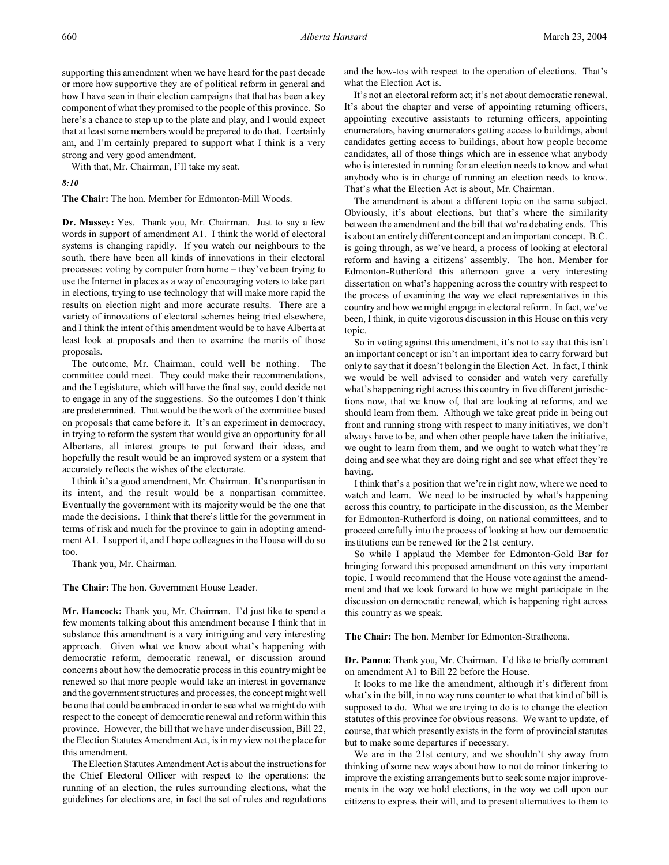supporting this amendment when we have heard for the past decade or more how supportive they are of political reform in general and how I have seen in their election campaigns that that has been a key component of what they promised to the people of this province. So here's a chance to step up to the plate and play, and I would expect that at least some members would be prepared to do that. I certainly am, and I'm certainly prepared to support what I think is a very strong and very good amendment.

With that, Mr. Chairman, I'll take my seat.

#### *8:10*

**The Chair:** The hon. Member for Edmonton-Mill Woods.

**Dr. Massey:** Yes. Thank you, Mr. Chairman. Just to say a few words in support of amendment A1. I think the world of electoral systems is changing rapidly. If you watch our neighbours to the south, there have been all kinds of innovations in their electoral processes: voting by computer from home – they've been trying to use the Internet in places as a way of encouraging voters to take part in elections, trying to use technology that will make more rapid the results on election night and more accurate results. There are a variety of innovations of electoral schemes being tried elsewhere, and I think the intent of this amendment would be to have Alberta at least look at proposals and then to examine the merits of those proposals.

The outcome, Mr. Chairman, could well be nothing. The committee could meet. They could make their recommendations, and the Legislature, which will have the final say, could decide not to engage in any of the suggestions. So the outcomes I don't think are predetermined. That would be the work of the committee based on proposals that came before it. It's an experiment in democracy, in trying to reform the system that would give an opportunity for all Albertans, all interest groups to put forward their ideas, and hopefully the result would be an improved system or a system that accurately reflects the wishes of the electorate.

I think it's a good amendment, Mr. Chairman. It's nonpartisan in its intent, and the result would be a nonpartisan committee. Eventually the government with its majority would be the one that made the decisions. I think that there's little for the government in terms of risk and much for the province to gain in adopting amendment A1. I support it, and I hope colleagues in the House will do so too.

Thank you, Mr. Chairman.

**The Chair:** The hon. Government House Leader.

**Mr. Hancock:** Thank you, Mr. Chairman. I'd just like to spend a few moments talking about this amendment because I think that in substance this amendment is a very intriguing and very interesting approach. Given what we know about what's happening with democratic reform, democratic renewal, or discussion around concerns about how the democratic process in this country might be renewed so that more people would take an interest in governance and the government structures and processes, the concept might well be one that could be embraced in order to see what we might do with respect to the concept of democratic renewal and reform within this province. However, the bill that we have under discussion, Bill 22, the Election Statutes Amendment Act, is in my view not the place for this amendment.

The Election Statutes Amendment Act is about the instructions for the Chief Electoral Officer with respect to the operations: the running of an election, the rules surrounding elections, what the guidelines for elections are, in fact the set of rules and regulations and the how-tos with respect to the operation of elections. That's what the Election Act is.

It's not an electoral reform act; it's not about democratic renewal. It's about the chapter and verse of appointing returning officers, appointing executive assistants to returning officers, appointing enumerators, having enumerators getting access to buildings, about candidates getting access to buildings, about how people become candidates, all of those things which are in essence what anybody who is interested in running for an election needs to know and what anybody who is in charge of running an election needs to know. That's what the Election Act is about, Mr. Chairman.

The amendment is about a different topic on the same subject. Obviously, it's about elections, but that's where the similarity between the amendment and the bill that we're debating ends. This is about an entirely different concept and an important concept. B.C. is going through, as we've heard, a process of looking at electoral reform and having a citizens' assembly. The hon. Member for Edmonton-Rutherford this afternoon gave a very interesting dissertation on what's happening across the country with respect to the process of examining the way we elect representatives in this country and how we might engage in electoral reform. In fact, we've been, I think, in quite vigorous discussion in this House on this very topic.

So in voting against this amendment, it's not to say that this isn't an important concept or isn't an important idea to carry forward but only to say that it doesn't belong in the Election Act. In fact, I think we would be well advised to consider and watch very carefully what's happening right across this country in five different jurisdictions now, that we know of, that are looking at reforms, and we should learn from them. Although we take great pride in being out front and running strong with respect to many initiatives, we don't always have to be, and when other people have taken the initiative, we ought to learn from them, and we ought to watch what they're doing and see what they are doing right and see what effect they're having.

I think that's a position that we're in right now, where we need to watch and learn. We need to be instructed by what's happening across this country, to participate in the discussion, as the Member for Edmonton-Rutherford is doing, on national committees, and to proceed carefully into the process of looking at how our democratic institutions can be renewed for the 21st century.

So while I applaud the Member for Edmonton-Gold Bar for bringing forward this proposed amendment on this very important topic, I would recommend that the House vote against the amendment and that we look forward to how we might participate in the discussion on democratic renewal, which is happening right across this country as we speak.

**The Chair:** The hon. Member for Edmonton-Strathcona.

**Dr. Pannu:** Thank you, Mr. Chairman. I'd like to briefly comment on amendment A1 to Bill 22 before the House.

It looks to me like the amendment, although it's different from what's in the bill, in no way runs counter to what that kind of bill is supposed to do. What we are trying to do is to change the election statutes of this province for obvious reasons. We want to update, of course, that which presently exists in the form of provincial statutes but to make some departures if necessary.

We are in the 21st century, and we shouldn't shy away from thinking of some new ways about how to not do minor tinkering to improve the existing arrangements but to seek some major improvements in the way we hold elections, in the way we call upon our citizens to express their will, and to present alternatives to them to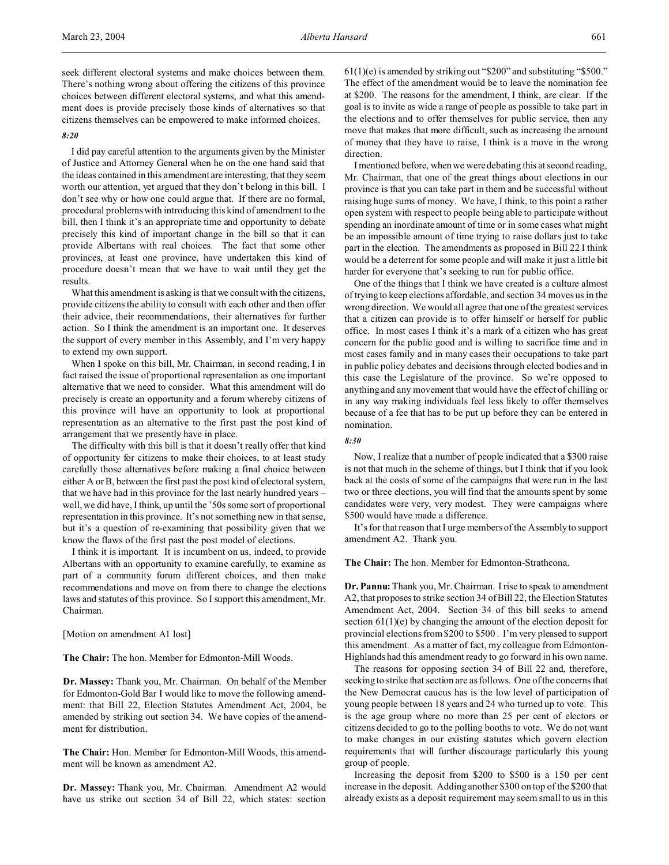#### *8:20*

I did pay careful attention to the arguments given by the Minister of Justice and Attorney General when he on the one hand said that the ideas contained in this amendment are interesting, that they seem worth our attention, yet argued that they don't belong in this bill. I don't see why or how one could argue that. If there are no formal, procedural problems with introducing this kind of amendment to the bill, then I think it's an appropriate time and opportunity to debate precisely this kind of important change in the bill so that it can provide Albertans with real choices. The fact that some other provinces, at least one province, have undertaken this kind of procedure doesn't mean that we have to wait until they get the results.

What this amendment is asking is that we consult with the citizens, provide citizens the ability to consult with each other and then offer their advice, their recommendations, their alternatives for further action. So I think the amendment is an important one. It deserves the support of every member in this Assembly, and I'm very happy to extend my own support.

When I spoke on this bill, Mr. Chairman, in second reading, I in fact raised the issue of proportional representation as one important alternative that we need to consider. What this amendment will do precisely is create an opportunity and a forum whereby citizens of this province will have an opportunity to look at proportional representation as an alternative to the first past the post kind of arrangement that we presently have in place.

The difficulty with this bill is that it doesn't really offer that kind of opportunity for citizens to make their choices, to at least study carefully those alternatives before making a final choice between either A or B, between the first past the post kind of electoral system, that we have had in this province for the last nearly hundred years – well, we did have, I think, up until the '50s some sort of proportional representation in this province. It's not something new in that sense, but it's a question of re-examining that possibility given that we know the flaws of the first past the post model of elections.

I think it is important. It is incumbent on us, indeed, to provide Albertans with an opportunity to examine carefully, to examine as part of a community forum different choices, and then make recommendations and move on from there to change the elections laws and statutes of this province. So I support this amendment, Mr. Chairman.

[Motion on amendment A1 lost]

**The Chair:** The hon. Member for Edmonton-Mill Woods.

**Dr. Massey:** Thank you, Mr. Chairman. On behalf of the Member for Edmonton-Gold Bar I would like to move the following amendment: that Bill 22, Election Statutes Amendment Act, 2004, be amended by striking out section 34. We have copies of the amendment for distribution.

**The Chair:** Hon. Member for Edmonton-Mill Woods, this amendment will be known as amendment A2.

**Dr. Massey:** Thank you, Mr. Chairman. Amendment A2 would have us strike out section 34 of Bill 22, which states: section 61(1)(e) is amended by striking out "\$200" and substituting "\$500." The effect of the amendment would be to leave the nomination fee at \$200. The reasons for the amendment, I think, are clear. If the goal is to invite as wide a range of people as possible to take part in the elections and to offer themselves for public service, then any move that makes that more difficult, such as increasing the amount of money that they have to raise, I think is a move in the wrong direction.

I mentioned before, when we were debating this at second reading, Mr. Chairman, that one of the great things about elections in our province is that you can take part in them and be successful without raising huge sums of money. We have, I think, to this point a rather open system with respect to people being able to participate without spending an inordinate amount of time or in some cases what might be an impossible amount of time trying to raise dollars just to take part in the election. The amendments as proposed in Bill 22 I think would be a deterrent for some people and will make it just a little bit harder for everyone that's seeking to run for public office.

One of the things that I think we have created is a culture almost of trying to keep elections affordable, and section 34 moves us in the wrong direction. We would all agree that one of the greatest services that a citizen can provide is to offer himself or herself for public office. In most cases I think it's a mark of a citizen who has great concern for the public good and is willing to sacrifice time and in most cases family and in many cases their occupations to take part in public policy debates and decisions through elected bodies and in this case the Legislature of the province. So we're opposed to anything and any movement that would have the effect of chilling or in any way making individuals feel less likely to offer themselves because of a fee that has to be put up before they can be entered in nomination.

#### *8:30*

Now, I realize that a number of people indicated that a \$300 raise is not that much in the scheme of things, but I think that if you look back at the costs of some of the campaigns that were run in the last two or three elections, you will find that the amounts spent by some candidates were very, very modest. They were campaigns where \$500 would have made a difference.

It's for that reason that I urge members of the Assembly to support amendment A2. Thank you.

**The Chair:** The hon. Member for Edmonton-Strathcona.

**Dr. Pannu:** Thank you, Mr. Chairman. I rise to speak to amendment A2, that proposes to strike section 34 of Bill 22, the Election Statutes Amendment Act, 2004. Section 34 of this bill seeks to amend section 61(1)(e) by changing the amount of the election deposit for provincial elections from \$200 to \$500 . I'm very pleased to support this amendment. As a matter of fact, my colleague from Edmonton-Highlands had this amendment ready to go forward in his own name.

The reasons for opposing section 34 of Bill 22 and, therefore, seeking to strike that section are as follows. One of the concerns that the New Democrat caucus has is the low level of participation of young people between 18 years and 24 who turned up to vote. This is the age group where no more than 25 per cent of electors or citizens decided to go to the polling booths to vote. We do not want to make changes in our existing statutes which govern election requirements that will further discourage particularly this young group of people.

Increasing the deposit from \$200 to \$500 is a 150 per cent increase in the deposit. Adding another \$300 on top of the \$200 that already exists as a deposit requirement may seem small to us in this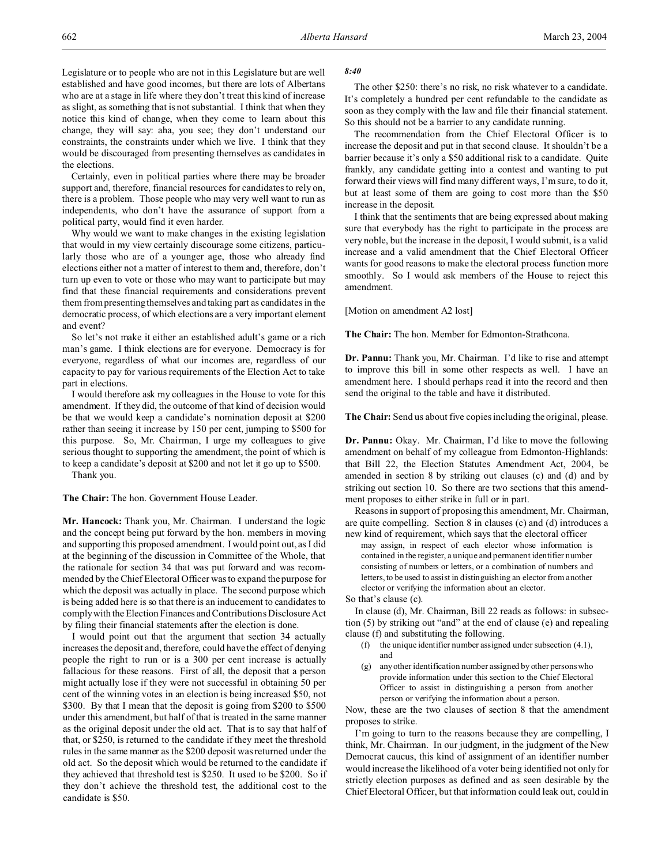Legislature or to people who are not in this Legislature but are well established and have good incomes, but there are lots of Albertans who are at a stage in life where they don't treat this kind of increase as slight, as something that is not substantial. I think that when they notice this kind of change, when they come to learn about this change, they will say: aha, you see; they don't understand our constraints, the constraints under which we live. I think that they would be discouraged from presenting themselves as candidates in the elections.

Certainly, even in political parties where there may be broader support and, therefore, financial resources for candidates to rely on, there is a problem. Those people who may very well want to run as independents, who don't have the assurance of support from a political party, would find it even harder.

Why would we want to make changes in the existing legislation that would in my view certainly discourage some citizens, particularly those who are of a younger age, those who already find elections either not a matter of interest to them and, therefore, don't turn up even to vote or those who may want to participate but may find that these financial requirements and considerations prevent them from presenting themselves and taking part as candidates in the democratic process, of which elections are a very important element and event?

So let's not make it either an established adult's game or a rich man's game. I think elections are for everyone. Democracy is for everyone, regardless of what our incomes are, regardless of our capacity to pay for various requirements of the Election Act to take part in elections.

I would therefore ask my colleagues in the House to vote for this amendment. If they did, the outcome of that kind of decision would be that we would keep a candidate's nomination deposit at \$200 rather than seeing it increase by 150 per cent, jumping to \$500 for this purpose. So, Mr. Chairman, I urge my colleagues to give serious thought to supporting the amendment, the point of which is to keep a candidate's deposit at \$200 and not let it go up to \$500.

Thank you.

**The Chair:** The hon. Government House Leader.

**Mr. Hancock:** Thank you, Mr. Chairman. I understand the logic and the concept being put forward by the hon. members in moving and supporting this proposed amendment. I would point out, as I did at the beginning of the discussion in Committee of the Whole, that the rationale for section 34 that was put forward and was recommended by the Chief Electoral Officer was to expand the purpose for which the deposit was actually in place. The second purpose which is being added here is so that there is an inducement to candidates to comply with the Election Finances and Contributions Disclosure Act by filing their financial statements after the election is done.

I would point out that the argument that section 34 actually increases the deposit and, therefore, could have the effect of denying people the right to run or is a 300 per cent increase is actually fallacious for these reasons. First of all, the deposit that a person might actually lose if they were not successful in obtaining 50 per cent of the winning votes in an election is being increased \$50, not \$300. By that I mean that the deposit is going from \$200 to \$500 under this amendment, but half of that is treated in the same manner as the original deposit under the old act. That is to say that half of that, or \$250, is returned to the candidate if they meet the threshold rules in the same manner as the \$200 deposit was returned under the old act. So the deposit which would be returned to the candidate if they achieved that threshold test is \$250. It used to be \$200. So if they don't achieve the threshold test, the additional cost to the candidate is \$50.

### *8:40*

The other \$250: there's no risk, no risk whatever to a candidate. It's completely a hundred per cent refundable to the candidate as soon as they comply with the law and file their financial statement. So this should not be a barrier to any candidate running.

The recommendation from the Chief Electoral Officer is to increase the deposit and put in that second clause. It shouldn't be a barrier because it's only a \$50 additional risk to a candidate. Quite frankly, any candidate getting into a contest and wanting to put forward their views will find many different ways, I'm sure, to do it, but at least some of them are going to cost more than the \$50 increase in the deposit.

I think that the sentiments that are being expressed about making sure that everybody has the right to participate in the process are very noble, but the increase in the deposit, I would submit, is a valid increase and a valid amendment that the Chief Electoral Officer wants for good reasons to make the electoral process function more smoothly. So I would ask members of the House to reject this amendment.

[Motion on amendment A2 lost]

**The Chair:** The hon. Member for Edmonton-Strathcona.

**Dr. Pannu:** Thank you, Mr. Chairman. I'd like to rise and attempt to improve this bill in some other respects as well. I have an amendment here. I should perhaps read it into the record and then send the original to the table and have it distributed.

**The Chair:** Send us about five copies including the original, please.

**Dr. Pannu:** Okay. Mr. Chairman, I'd like to move the following amendment on behalf of my colleague from Edmonton-Highlands: that Bill 22, the Election Statutes Amendment Act, 2004, be amended in section 8 by striking out clauses (c) and (d) and by striking out section 10. So there are two sections that this amendment proposes to either strike in full or in part.

Reasons in support of proposing this amendment, Mr. Chairman, are quite compelling. Section 8 in clauses (c) and (d) introduces a new kind of requirement, which says that the electoral officer

may assign, in respect of each elector whose information is contained in the register, a unique and permanent identifier number consisting of numbers or letters, or a combination of numbers and letters, to be used to assist in distinguishing an elector from another elector or verifying the information about an elector.

So that's clause (c).

In clause (d), Mr. Chairman, Bill 22 reads as follows: in subsection (5) by striking out "and" at the end of clause (e) and repealing clause (f) and substituting the following.

- (f) the unique identifier number assigned under subsection (4.1), and
- (g) anyother identification number assigned by other persons who provide information under this section to the Chief Electoral Officer to assist in distinguishing a person from another person or verifying the information about a person.

Now, these are the two clauses of section 8 that the amendment proposes to strike.

I'm going to turn to the reasons because they are compelling, I think, Mr. Chairman. In our judgment, in the judgment of the New Democrat caucus, this kind of assignment of an identifier number would increase the likelihood of a voter being identified not only for strictly election purposes as defined and as seen desirable by the Chief Electoral Officer, but that information could leak out, could in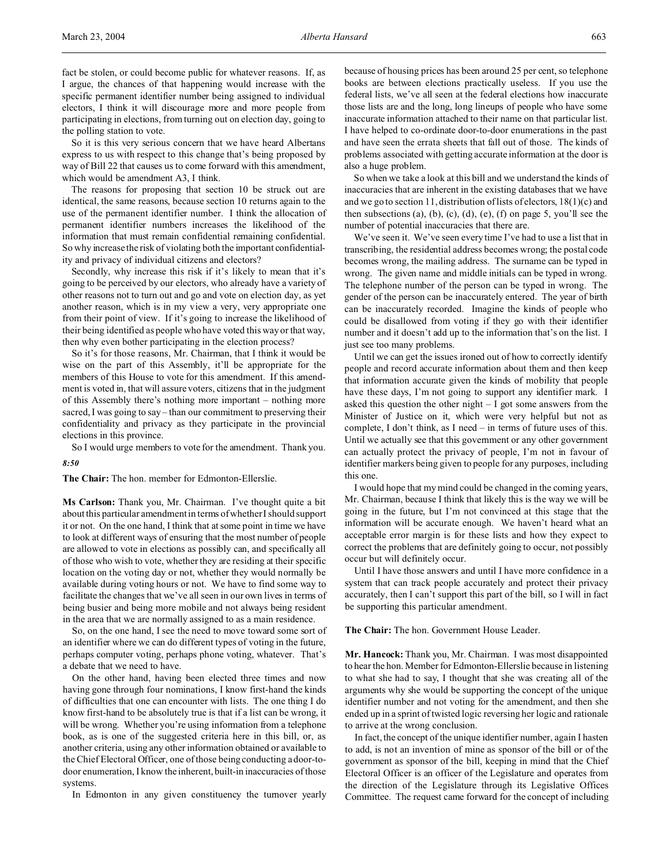So it is this very serious concern that we have heard Albertans express to us with respect to this change that's being proposed by way of Bill 22 that causes us to come forward with this amendment, which would be amendment A3, I think.

The reasons for proposing that section 10 be struck out are identical, the same reasons, because section 10 returns again to the use of the permanent identifier number. I think the allocation of permanent identifier numbers increases the likelihood of the information that must remain confidential remaining confidential. So why increase the risk of violating both the important confidentiality and privacy of individual citizens and electors?

Secondly, why increase this risk if it's likely to mean that it's going to be perceived by our electors, who already have a variety of other reasons not to turn out and go and vote on election day, as yet another reason, which is in my view a very, very appropriate one from their point of view. If it's going to increase the likelihood of their being identified as people who have voted this way or that way, then why even bother participating in the election process?

So it's for those reasons, Mr. Chairman, that I think it would be wise on the part of this Assembly, it'll be appropriate for the members of this House to vote for this amendment. If this amendment is voted in, that will assure voters, citizens that in the judgment of this Assembly there's nothing more important – nothing more sacred, I was going to say – than our commitment to preserving their confidentiality and privacy as they participate in the provincial elections in this province.

So I would urge members to vote for the amendment. Thank you.

## *8:50*

**The Chair:** The hon. member for Edmonton-Ellerslie.

**Ms Carlson:** Thank you, Mr. Chairman. I've thought quite a bit about this particular amendment in terms of whether I should support it or not. On the one hand, I think that at some point in time we have to look at different ways of ensuring that the most number of people are allowed to vote in elections as possibly can, and specifically all of those who wish to vote, whether they are residing at their specific location on the voting day or not, whether they would normally be available during voting hours or not. We have to find some way to facilitate the changes that we've all seen in our own lives in terms of being busier and being more mobile and not always being resident in the area that we are normally assigned to as a main residence.

So, on the one hand, I see the need to move toward some sort of an identifier where we can do different types of voting in the future, perhaps computer voting, perhaps phone voting, whatever. That's a debate that we need to have.

On the other hand, having been elected three times and now having gone through four nominations, I know first-hand the kinds of difficulties that one can encounter with lists. The one thing I do know first-hand to be absolutely true is that if a list can be wrong, it will be wrong. Whether you're using information from a telephone book, as is one of the suggested criteria here in this bill, or, as another criteria, using any other information obtained or available to the Chief Electoral Officer, one of those being conducting a door-todoor enumeration, I know the inherent, built-in inaccuracies of those systems.

In Edmonton in any given constituency the turnover yearly

because of housing prices has been around 25 per cent, so telephone books are between elections practically useless. If you use the federal lists, we've all seen at the federal elections how inaccurate those lists are and the long, long lineups of people who have some inaccurate information attached to their name on that particular list. I have helped to co-ordinate door-to-door enumerations in the past and have seen the errata sheets that fall out of those. The kinds of problems associated with getting accurate information at the door is also a huge problem.

So when we take a look at this bill and we understand the kinds of inaccuracies that are inherent in the existing databases that we have and we go to section 11, distribution of lists of electors,  $18(1)(c)$  and then subsections  $(a)$ ,  $(b)$ ,  $(c)$ ,  $(d)$ ,  $(e)$ ,  $(f)$  on page 5, you'll see the number of potential inaccuracies that there are.

We've seen it. We've seen every time I've had to use a list that in transcribing, the residential address becomes wrong; the postal code becomes wrong, the mailing address. The surname can be typed in wrong. The given name and middle initials can be typed in wrong. The telephone number of the person can be typed in wrong. The gender of the person can be inaccurately entered. The year of birth can be inaccurately recorded. Imagine the kinds of people who could be disallowed from voting if they go with their identifier number and it doesn't add up to the information that's on the list. I just see too many problems.

Until we can get the issues ironed out of how to correctly identify people and record accurate information about them and then keep that information accurate given the kinds of mobility that people have these days, I'm not going to support any identifier mark. I asked this question the other night – I got some answers from the Minister of Justice on it, which were very helpful but not as complete, I don't think, as I need – in terms of future uses of this. Until we actually see that this government or any other government can actually protect the privacy of people, I'm not in favour of identifier markers being given to people for any purposes, including this one.

I would hope that my mind could be changed in the coming years, Mr. Chairman, because I think that likely this is the way we will be going in the future, but I'm not convinced at this stage that the information will be accurate enough. We haven't heard what an acceptable error margin is for these lists and how they expect to correct the problems that are definitely going to occur, not possibly occur but will definitely occur.

Until I have those answers and until I have more confidence in a system that can track people accurately and protect their privacy accurately, then I can't support this part of the bill, so I will in fact be supporting this particular amendment.

**The Chair:** The hon. Government House Leader.

**Mr. Hancock:** Thank you, Mr. Chairman. I was most disappointed to hear the hon. Member for Edmonton-Ellerslie because in listening to what she had to say, I thought that she was creating all of the arguments why she would be supporting the concept of the unique identifier number and not voting for the amendment, and then she ended up in a sprint of twisted logic reversing her logic and rationale to arrive at the wrong conclusion.

In fact, the concept of the unique identifier number, again I hasten to add, is not an invention of mine as sponsor of the bill or of the government as sponsor of the bill, keeping in mind that the Chief Electoral Officer is an officer of the Legislature and operates from the direction of the Legislature through its Legislative Offices Committee. The request came forward for the concept of including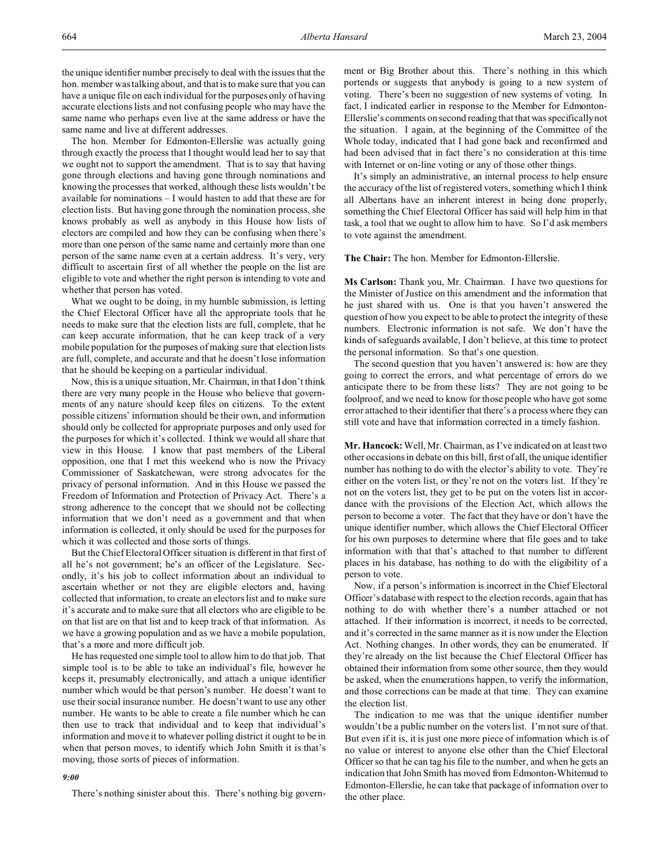the unique identifier number precisely to deal with the issues that the hon. member was talking about, and that is to make sure that you can have a unique file on each individual for the purposes only of having accurate elections lists and not confusing people who may have the same name who perhaps even live at the same address or have the same name and live at different addresses.

The hon. Member for Edmonton-Ellerslie was actually going through exactly the process that I thought would lead her to say that we ought not to support the amendment. That is to say that having gone through elections and having gone through nominations and knowing the processes that worked, although these lists wouldn't be available for nominations – I would hasten to add that these are for election lists. But having gone through the nomination process, she knows probably as well as anybody in this House how lists of electors are compiled and how they can be confusing when there's more than one person of the same name and certainly more than one person of the same name even at a certain address. It's very, very difficult to ascertain first of all whether the people on the list are eligible to vote and whether the right person is intending to vote and whether that person has voted.

What we ought to be doing, in my humble submission, is letting the Chief Electoral Officer have all the appropriate tools that he needs to make sure that the election lists are full, complete, that he can keep accurate information, that he can keep track of a very mobile population for the purposes of making sure that election lists are full, complete, and accurate and that he doesn't lose information that he should be keeping on a particular individual.

Now, this is a unique situation, Mr. Chairman, in that I don't think there are very many people in the House who believe that governments of any nature should keep files on citizens. To the extent possible citizens' information should be their own, and information should only be collected for appropriate purposes and only used for the purposes for which it's collected. I think we would all share that view in this House. I know that past members of the Liberal opposition, one that I met this weekend who is now the Privacy Commissioner of Saskatchewan, were strong advocates for the privacy of personal information. And in this House we passed the Freedom of Information and Protection of Privacy Act. There's a strong adherence to the concept that we should not be collecting information that we don't need as a government and that when information is collected, it only should be used for the purposes for which it was collected and those sorts of things.

But the Chief Electoral Officer situation is different in that first of all he's not government; he's an officer of the Legislature. Secondly, it's his job to collect information about an individual to ascertain whether or not they are eligible electors and, having collected that information, to create an electors list and to make sure it's accurate and to make sure that all electors who are eligible to be on that list are on that list and to keep track of that information. As we have a growing population and as we have a mobile population, that's a more and more difficult job.

He has requested one simple tool to allow him to do that job. That simple tool is to be able to take an individual's file, however he keeps it, presumably electronically, and attach a unique identifier number which would be that person's number. He doesn't want to use their social insurance number. He doesn't want to use any other number. He wants to be able to create a file number which he can then use to track that individual and to keep that individual's information and move it to whatever polling district it ought to be in when that person moves, to identify which John Smith it is that's moving, those sorts of pieces of information.

#### *9:00*

There's nothing sinister about this. There's nothing big govern-

ment or Big Brother about this. There's nothing in this which portends or suggests that anybody is going to a new system of voting. There's been no suggestion of new systems of voting. In fact, I indicated earlier in response to the Member for Edmonton-Ellerslie's comments on second reading that that was specifically not the situation. I again, at the beginning of the Committee of the Whole today, indicated that I had gone back and reconfirmed and had been advised that in fact there's no consideration at this time with Internet or on-line voting or any of those other things.

It's simply an administrative, an internal process to help ensure the accuracy of the list of registered voters, something which I think all Albertans have an inherent interest in being done properly, something the Chief Electoral Officer has said will help him in that task, a tool that we ought to allow him to have. So I'd ask members to vote against the amendment.

**The Chair:** The hon. Member for Edmonton-Ellerslie.

**Ms Carlson:** Thank you, Mr. Chairman. I have two questions for the Minister of Justice on this amendment and the information that he just shared with us. One is that you haven't answered the question of how you expect to be able to protect the integrity of these numbers. Electronic information is not safe. We don't have the kinds of safeguards available, I don't believe, at this time to protect the personal information. So that's one question.

The second question that you haven't answered is: how are they going to correct the errors, and what percentage of errors do we anticipate there to be from these lists? They are not going to be foolproof, and we need to know for those people who have got some error attached to their identifier that there's a process where they can still vote and have that information corrected in a timely fashion.

**Mr. Hancock:** Well, Mr. Chairman, as I've indicated on at least two other occasions in debate on this bill, first of all, the unique identifier number has nothing to do with the elector's ability to vote. They're either on the voters list, or they're not on the voters list. If they're not on the voters list, they get to be put on the voters list in accordance with the provisions of the Election Act, which allows the person to become a voter. The fact that they have or don't have the unique identifier number, which allows the Chief Electoral Officer for his own purposes to determine where that file goes and to take information with that that's attached to that number to different places in his database, has nothing to do with the eligibility of a person to vote.

Now, if a person's information is incorrect in the Chief Electoral Officer's database with respect to the election records, again that has nothing to do with whether there's a number attached or not attached. If their information is incorrect, it needs to be corrected, and it's corrected in the same manner as it is now under the Election Act. Nothing changes. In other words, they can be enumerated. If they're already on the list because the Chief Electoral Officer has obtained their information from some other source, then they would be asked, when the enumerations happen, to verify the information, and those corrections can be made at that time. They can examine the election list.

The indication to me was that the unique identifier number wouldn't be a public number on the voters list. I'm not sure of that. But even if it is, it is just one more piece of information which is of no value or interest to anyone else other than the Chief Electoral Officer so that he can tag his file to the number, and when he gets an indication that John Smith has moved from Edmonton-Whitemud to Edmonton-Ellerslie, he can take that package of information over to the other place.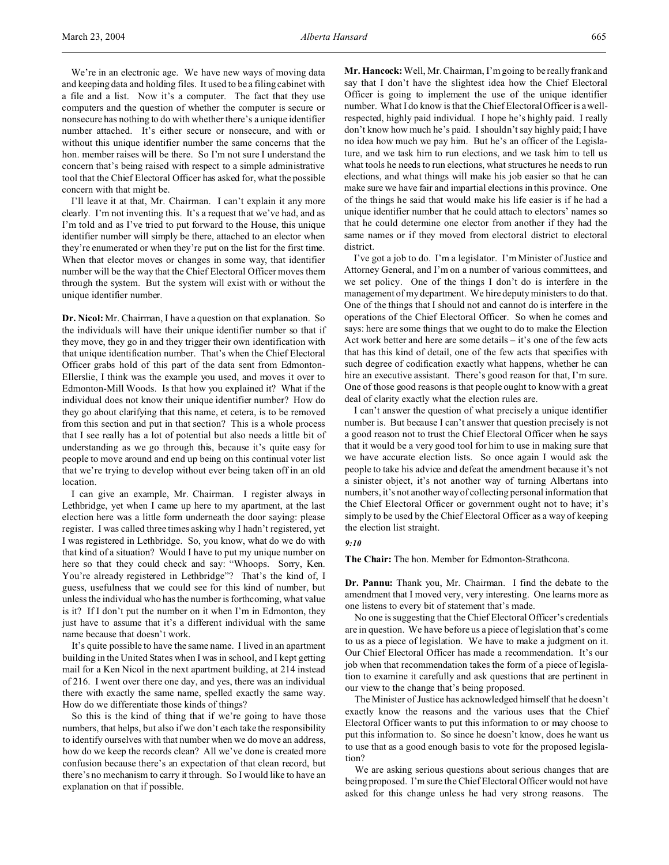We're in an electronic age. We have new ways of moving data and keeping data and holding files. It used to be a filing cabinet with a file and a list. Now it's a computer. The fact that they use computers and the question of whether the computer is secure or nonsecure has nothing to do with whether there's a unique identifier number attached. It's either secure or nonsecure, and with or without this unique identifier number the same concerns that the hon. member raises will be there. So I'm not sure I understand the concern that's being raised with respect to a simple administrative tool that the Chief Electoral Officer has asked for, what the possible concern with that might be.

I'll leave it at that, Mr. Chairman. I can't explain it any more clearly. I'm not inventing this. It's a request that we've had, and as I'm told and as I've tried to put forward to the House, this unique identifier number will simply be there, attached to an elector when they're enumerated or when they're put on the list for the first time. When that elector moves or changes in some way, that identifier number will be the way that the Chief Electoral Officer moves them through the system. But the system will exist with or without the unique identifier number.

**Dr. Nicol:** Mr. Chairman, I have a question on that explanation. So the individuals will have their unique identifier number so that if they move, they go in and they trigger their own identification with that unique identification number. That's when the Chief Electoral Officer grabs hold of this part of the data sent from Edmonton-Ellerslie, I think was the example you used, and moves it over to Edmonton-Mill Woods. Is that how you explained it? What if the individual does not know their unique identifier number? How do they go about clarifying that this name, et cetera, is to be removed from this section and put in that section? This is a whole process that I see really has a lot of potential but also needs a little bit of understanding as we go through this, because it's quite easy for people to move around and end up being on this continual voter list that we're trying to develop without ever being taken off in an old location.

I can give an example, Mr. Chairman. I register always in Lethbridge, yet when I came up here to my apartment, at the last election here was a little form underneath the door saying: please register. I was called three times asking why I hadn't registered, yet I was registered in Lethbridge. So, you know, what do we do with that kind of a situation? Would I have to put my unique number on here so that they could check and say: "Whoops. Sorry, Ken. You're already registered in Lethbridge"? That's the kind of, I guess, usefulness that we could see for this kind of number, but unless the individual who has the number is forthcoming, what value is it? If I don't put the number on it when I'm in Edmonton, they just have to assume that it's a different individual with the same name because that doesn't work.

It's quite possible to have the same name. I lived in an apartment building in the United States when I was in school, and I kept getting mail for a Ken Nicol in the next apartment building, at 214 instead of 216. I went over there one day, and yes, there was an individual there with exactly the same name, spelled exactly the same way. How do we differentiate those kinds of things?

So this is the kind of thing that if we're going to have those numbers, that helps, but also if we don't each take the responsibility to identify ourselves with that number when we do move an address, how do we keep the records clean? All we've done is created more confusion because there's an expectation of that clean record, but there's no mechanism to carry it through. So I would like to have an explanation on that if possible.

**Mr. Hancock:** Well, Mr. Chairman, I'm going to be really frank and say that I don't have the slightest idea how the Chief Electoral Officer is going to implement the use of the unique identifier number. What I do know is that the Chief Electoral Officer is a wellrespected, highly paid individual. I hope he's highly paid. I really don't know how much he's paid. I shouldn't say highly paid; I have no idea how much we pay him. But he's an officer of the Legislature, and we task him to run elections, and we task him to tell us what tools he needs to run elections, what structures he needs to run elections, and what things will make his job easier so that he can make sure we have fair and impartial elections in this province. One of the things he said that would make his life easier is if he had a unique identifier number that he could attach to electors' names so that he could determine one elector from another if they had the same names or if they moved from electoral district to electoral district.

I've got a job to do. I'm a legislator. I'm Minister of Justice and Attorney General, and I'm on a number of various committees, and we set policy. One of the things I don't do is interfere in the management of my department. We hire deputy ministers to do that. One of the things that I should not and cannot do is interfere in the operations of the Chief Electoral Officer. So when he comes and says: here are some things that we ought to do to make the Election Act work better and here are some details – it's one of the few acts that has this kind of detail, one of the few acts that specifies with such degree of codification exactly what happens, whether he can hire an executive assistant. There's good reason for that, I'm sure. One of those good reasons is that people ought to know with a great deal of clarity exactly what the election rules are.

I can't answer the question of what precisely a unique identifier number is. But because I can't answer that question precisely is not a good reason not to trust the Chief Electoral Officer when he says that it would be a very good tool for him to use in making sure that we have accurate election lists. So once again I would ask the people to take his advice and defeat the amendment because it's not a sinister object, it's not another way of turning Albertans into numbers, it's not another way of collecting personal information that the Chief Electoral Officer or government ought not to have; it's simply to be used by the Chief Electoral Officer as a way of keeping the election list straight.

### *9:10*

**The Chair:** The hon. Member for Edmonton-Strathcona.

**Dr. Pannu:** Thank you, Mr. Chairman. I find the debate to the amendment that I moved very, very interesting. One learns more as one listens to every bit of statement that's made.

No one is suggesting that the Chief Electoral Officer's credentials are in question. We have before us a piece of legislation that's come to us as a piece of legislation. We have to make a judgment on it. Our Chief Electoral Officer has made a recommendation. It's our job when that recommendation takes the form of a piece of legislation to examine it carefully and ask questions that are pertinent in our view to the change that's being proposed.

The Minister of Justice has acknowledged himself that he doesn't exactly know the reasons and the various uses that the Chief Electoral Officer wants to put this information to or may choose to put this information to. So since he doesn't know, does he want us to use that as a good enough basis to vote for the proposed legislation?

We are asking serious questions about serious changes that are being proposed. I'm sure the Chief Electoral Officer would not have asked for this change unless he had very strong reasons. The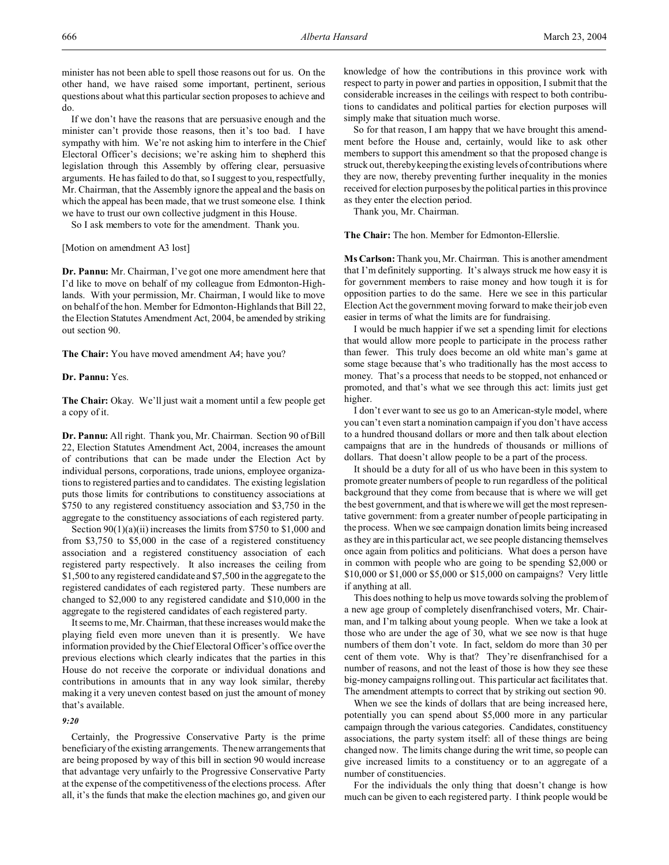minister has not been able to spell those reasons out for us. On the other hand, we have raised some important, pertinent, serious questions about what this particular section proposes to achieve and do.

If we don't have the reasons that are persuasive enough and the minister can't provide those reasons, then it's too bad. I have sympathy with him. We're not asking him to interfere in the Chief Electoral Officer's decisions; we're asking him to shepherd this legislation through this Assembly by offering clear, persuasive arguments. He has failed to do that, so I suggest to you, respectfully, Mr. Chairman, that the Assembly ignore the appeal and the basis on which the appeal has been made, that we trust someone else. I think we have to trust our own collective judgment in this House.

So I ask members to vote for the amendment. Thank you.

[Motion on amendment A3 lost]

**Dr. Pannu:** Mr. Chairman, I've got one more amendment here that I'd like to move on behalf of my colleague from Edmonton-Highlands. With your permission, Mr. Chairman, I would like to move on behalf of the hon. Member for Edmonton-Highlands that Bill 22, the Election Statutes Amendment Act, 2004, be amended by striking out section 90.

**The Chair:** You have moved amendment A4; have you?

## **Dr. Pannu:** Yes.

**The Chair:** Okay. We'll just wait a moment until a few people get a copy of it.

**Dr. Pannu:** All right. Thank you, Mr. Chairman. Section 90 of Bill 22, Election Statutes Amendment Act, 2004, increases the amount of contributions that can be made under the Election Act by individual persons, corporations, trade unions, employee organizations to registered parties and to candidates. The existing legislation puts those limits for contributions to constituency associations at \$750 to any registered constituency association and \$3,750 in the aggregate to the constituency associations of each registered party.

Section 90(1)(a)(ii) increases the limits from \$750 to \$1,000 and from \$3,750 to \$5,000 in the case of a registered constituency association and a registered constituency association of each registered party respectively. It also increases the ceiling from \$1,500 to any registered candidate and \$7,500 in the aggregate to the registered candidates of each registered party. These numbers are changed to \$2,000 to any registered candidate and \$10,000 in the aggregate to the registered candidates of each registered party.

It seems to me, Mr. Chairman, that these increases would make the playing field even more uneven than it is presently. We have information provided by the Chief Electoral Officer's office over the previous elections which clearly indicates that the parties in this House do not receive the corporate or individual donations and contributions in amounts that in any way look similar, thereby making it a very uneven contest based on just the amount of money that's available.

# *9:20*

Certainly, the Progressive Conservative Party is the prime beneficiary of the existing arrangements. The new arrangements that are being proposed by way of this bill in section 90 would increase that advantage very unfairly to the Progressive Conservative Party at the expense of the competitiveness of the elections process. After all, it's the funds that make the election machines go, and given our knowledge of how the contributions in this province work with respect to party in power and parties in opposition, I submit that the considerable increases in the ceilings with respect to both contributions to candidates and political parties for election purposes will simply make that situation much worse.

So for that reason, I am happy that we have brought this amendment before the House and, certainly, would like to ask other members to support this amendment so that the proposed change is struck out, thereby keeping the existing levels of contributions where they are now, thereby preventing further inequality in the monies received for election purposes by the political parties in this province as they enter the election period.

Thank you, Mr. Chairman.

**The Chair:** The hon. Member for Edmonton-Ellerslie.

**Ms Carlson:** Thank you, Mr. Chairman. This is another amendment that I'm definitely supporting. It's always struck me how easy it is for government members to raise money and how tough it is for opposition parties to do the same. Here we see in this particular Election Act the government moving forward to make their job even easier in terms of what the limits are for fundraising.

I would be much happier if we set a spending limit for elections that would allow more people to participate in the process rather than fewer. This truly does become an old white man's game at some stage because that's who traditionally has the most access to money. That's a process that needs to be stopped, not enhanced or promoted, and that's what we see through this act: limits just get higher.

I don't ever want to see us go to an American-style model, where you can't even start a nomination campaign if you don't have access to a hundred thousand dollars or more and then talk about election campaigns that are in the hundreds of thousands or millions of dollars. That doesn't allow people to be a part of the process.

It should be a duty for all of us who have been in this system to promote greater numbers of people to run regardless of the political background that they come from because that is where we will get the best government, and that is where we will get the most representative government: from a greater number of people participating in the process. When we see campaign donation limits being increased as they are in this particular act, we see people distancing themselves once again from politics and politicians. What does a person have in common with people who are going to be spending \$2,000 or \$10,000 or \$1,000 or \$5,000 or \$15,000 on campaigns? Very little if anything at all.

This does nothing to help us move towards solving the problem of a new age group of completely disenfranchised voters, Mr. Chairman, and I'm talking about young people. When we take a look at those who are under the age of 30, what we see now is that huge numbers of them don't vote. In fact, seldom do more than 30 per cent of them vote. Why is that? They're disenfranchised for a number of reasons, and not the least of those is how they see these big-money campaigns rolling out. This particular act facilitates that. The amendment attempts to correct that by striking out section 90.

When we see the kinds of dollars that are being increased here, potentially you can spend about \$5,000 more in any particular campaign through the various categories. Candidates, constituency associations, the party system itself: all of these things are being changed now. The limits change during the writ time, so people can give increased limits to a constituency or to an aggregate of a number of constituencies.

For the individuals the only thing that doesn't change is how much can be given to each registered party. I think people would be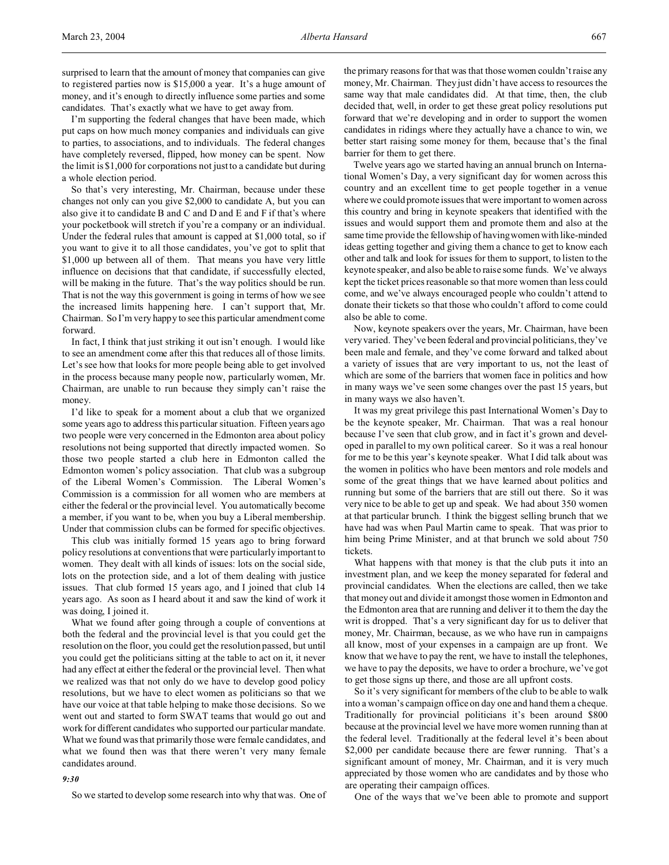surprised to learn that the amount of money that companies can give to registered parties now is \$15,000 a year. It's a huge amount of money, and it's enough to directly influence some parties and some candidates. That's exactly what we have to get away from.

I'm supporting the federal changes that have been made, which put caps on how much money companies and individuals can give to parties, to associations, and to individuals. The federal changes have completely reversed, flipped, how money can be spent. Now the limit is \$1,000 for corporations not just to a candidate but during a whole election period.

So that's very interesting, Mr. Chairman, because under these changes not only can you give \$2,000 to candidate A, but you can also give it to candidate B and C and D and E and F if that's where your pocketbook will stretch if you're a company or an individual. Under the federal rules that amount is capped at \$1,000 total, so if you want to give it to all those candidates, you've got to split that \$1,000 up between all of them. That means you have very little influence on decisions that that candidate, if successfully elected, will be making in the future. That's the way politics should be run. That is not the way this government is going in terms of how we see the increased limits happening here. I can't support that, Mr. Chairman. So I'm very happy to see this particular amendment come forward.

In fact, I think that just striking it out isn't enough. I would like to see an amendment come after this that reduces all of those limits. Let's see how that looks for more people being able to get involved in the process because many people now, particularly women, Mr. Chairman, are unable to run because they simply can't raise the money.

I'd like to speak for a moment about a club that we organized some years ago to address this particular situation. Fifteen years ago two people were very concerned in the Edmonton area about policy resolutions not being supported that directly impacted women. So those two people started a club here in Edmonton called the Edmonton women's policy association. That club was a subgroup of the Liberal Women's Commission. The Liberal Women's Commission is a commission for all women who are members at either the federal or the provincial level. You automatically become a member, if you want to be, when you buy a Liberal membership. Under that commission clubs can be formed for specific objectives.

This club was initially formed 15 years ago to bring forward policy resolutions at conventions that were particularly important to women. They dealt with all kinds of issues: lots on the social side, lots on the protection side, and a lot of them dealing with justice issues. That club formed 15 years ago, and I joined that club 14 years ago. As soon as I heard about it and saw the kind of work it was doing, I joined it.

What we found after going through a couple of conventions at both the federal and the provincial level is that you could get the resolution on the floor, you could get the resolution passed, but until you could get the politicians sitting at the table to act on it, it never had any effect at either the federal or the provincial level. Then what we realized was that not only do we have to develop good policy resolutions, but we have to elect women as politicians so that we have our voice at that table helping to make those decisions. So we went out and started to form SWAT teams that would go out and work for different candidates who supported our particular mandate. What we found was that primarily those were female candidates, and what we found then was that there weren't very many female candidates around.

#### *9:30*

So we started to develop some research into why that was. One of

the primary reasons for that was that those women couldn't raise any money, Mr. Chairman. They just didn't have access to resources the same way that male candidates did. At that time, then, the club decided that, well, in order to get these great policy resolutions put forward that we're developing and in order to support the women candidates in ridings where they actually have a chance to win, we better start raising some money for them, because that's the final barrier for them to get there.

Twelve years ago we started having an annual brunch on International Women's Day, a very significant day for women across this country and an excellent time to get people together in a venue where we could promote issues that were important to women across this country and bring in keynote speakers that identified with the issues and would support them and promote them and also at the same time provide the fellowship of having women with like-minded ideas getting together and giving them a chance to get to know each other and talk and look for issues for them to support, to listen to the keynote speaker, and also be able to raise some funds. We've always kept the ticket prices reasonable so that more women than less could come, and we've always encouraged people who couldn't attend to donate their tickets so that those who couldn't afford to come could also be able to come.

Now, keynote speakers over the years, Mr. Chairman, have been very varied. They've been federal and provincial politicians, they've been male and female, and they've come forward and talked about a variety of issues that are very important to us, not the least of which are some of the barriers that women face in politics and how in many ways we've seen some changes over the past 15 years, but in many ways we also haven't.

It was my great privilege this past International Women's Day to be the keynote speaker, Mr. Chairman. That was a real honour because I've seen that club grow, and in fact it's grown and developed in parallel to my own political career. So it was a real honour for me to be this year's keynote speaker. What I did talk about was the women in politics who have been mentors and role models and some of the great things that we have learned about politics and running but some of the barriers that are still out there. So it was very nice to be able to get up and speak. We had about 350 women at that particular brunch. I think the biggest selling brunch that we have had was when Paul Martin came to speak. That was prior to him being Prime Minister, and at that brunch we sold about 750 tickets.

What happens with that money is that the club puts it into an investment plan, and we keep the money separated for federal and provincial candidates. When the elections are called, then we take that money out and divide it amongst those women in Edmonton and the Edmonton area that are running and deliver it to them the day the writ is dropped. That's a very significant day for us to deliver that money, Mr. Chairman, because, as we who have run in campaigns all know, most of your expenses in a campaign are up front. We know that we have to pay the rent, we have to install the telephones, we have to pay the deposits, we have to order a brochure, we've got to get those signs up there, and those are all upfront costs.

So it's very significant for members of the club to be able to walk into a woman's campaign office on day one and hand them a cheque. Traditionally for provincial politicians it's been around \$800 because at the provincial level we have more women running than at the federal level. Traditionally at the federal level it's been about \$2,000 per candidate because there are fewer running. That's a significant amount of money, Mr. Chairman, and it is very much appreciated by those women who are candidates and by those who are operating their campaign offices.

One of the ways that we've been able to promote and support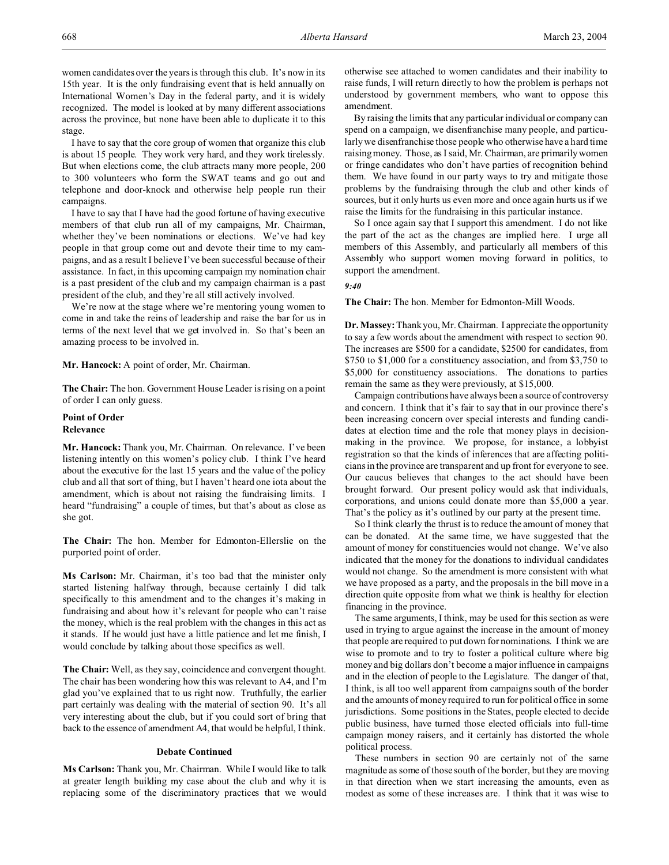women candidates over the years is through this club. It's now in its 15th year. It is the only fundraising event that is held annually on International Women's Day in the federal party, and it is widely recognized. The model is looked at by many different associations across the province, but none have been able to duplicate it to this stage.

I have to say that the core group of women that organize this club is about 15 people. They work very hard, and they work tirelessly. But when elections come, the club attracts many more people, 200 to 300 volunteers who form the SWAT teams and go out and telephone and door-knock and otherwise help people run their campaigns.

I have to say that I have had the good fortune of having executive members of that club run all of my campaigns, Mr. Chairman, whether they've been nominations or elections. We've had key people in that group come out and devote their time to my campaigns, and as a result I believe I've been successful because of their assistance. In fact, in this upcoming campaign my nomination chair is a past president of the club and my campaign chairman is a past president of the club, and they're all still actively involved.

We're now at the stage where we're mentoring young women to come in and take the reins of leadership and raise the bar for us in terms of the next level that we get involved in. So that's been an amazing process to be involved in.

#### **Mr. Hancock:** A point of order, Mr. Chairman.

**The Chair:** The hon. Government House Leader is rising on a point of order I can only guess.

#### **Point of Order Relevance**

**Mr. Hancock:** Thank you, Mr. Chairman. On relevance. I've been listening intently on this women's policy club. I think I've heard about the executive for the last 15 years and the value of the policy club and all that sort of thing, but I haven't heard one iota about the amendment, which is about not raising the fundraising limits. I heard "fundraising" a couple of times, but that's about as close as she got.

**The Chair:** The hon. Member for Edmonton-Ellerslie on the purported point of order.

**Ms Carlson:** Mr. Chairman, it's too bad that the minister only started listening halfway through, because certainly I did talk specifically to this amendment and to the changes it's making in fundraising and about how it's relevant for people who can't raise the money, which is the real problem with the changes in this act as it stands. If he would just have a little patience and let me finish, I would conclude by talking about those specifics as well.

**The Chair:** Well, as they say, coincidence and convergent thought. The chair has been wondering how this was relevant to A4, and I'm glad you've explained that to us right now. Truthfully, the earlier part certainly was dealing with the material of section 90. It's all very interesting about the club, but if you could sort of bring that back to the essence of amendment A4, that would be helpful, I think.

#### **Debate Continued**

**Ms Carlson:** Thank you, Mr. Chairman. While I would like to talk at greater length building my case about the club and why it is replacing some of the discriminatory practices that we would otherwise see attached to women candidates and their inability to raise funds, I will return directly to how the problem is perhaps not understood by government members, who want to oppose this amendment.

By raising the limits that any particular individual or company can spend on a campaign, we disenfranchise many people, and particularly we disenfranchise those people who otherwise have a hard time raising money. Those, as I said, Mr. Chairman, are primarily women or fringe candidates who don't have parties of recognition behind them. We have found in our party ways to try and mitigate those problems by the fundraising through the club and other kinds of sources, but it only hurts us even more and once again hurts us if we raise the limits for the fundraising in this particular instance.

So I once again say that I support this amendment. I do not like the part of the act as the changes are implied here. I urge all members of this Assembly, and particularly all members of this Assembly who support women moving forward in politics, to support the amendment.

# *9:40*

**The Chair:** The hon. Member for Edmonton-Mill Woods.

**Dr. Massey:** Thank you, Mr. Chairman. I appreciate the opportunity to say a few words about the amendment with respect to section 90. The increases are \$500 for a candidate, \$2500 for candidates, from \$750 to \$1,000 for a constituency association, and from \$3,750 to \$5,000 for constituency associations. The donations to parties remain the same as they were previously, at \$15,000.

Campaign contributions have always been a source of controversy and concern. I think that it's fair to say that in our province there's been increasing concern over special interests and funding candidates at election time and the role that money plays in decisionmaking in the province. We propose, for instance, a lobbyist registration so that the kinds of inferences that are affecting politicians in the province are transparent and up front for everyone to see. Our caucus believes that changes to the act should have been brought forward. Our present policy would ask that individuals, corporations, and unions could donate more than \$5,000 a year. That's the policy as it's outlined by our party at the present time.

So I think clearly the thrust is to reduce the amount of money that can be donated. At the same time, we have suggested that the amount of money for constituencies would not change. We've also indicated that the money for the donations to individual candidates would not change. So the amendment is more consistent with what we have proposed as a party, and the proposals in the bill move in a direction quite opposite from what we think is healthy for election financing in the province.

The same arguments, I think, may be used for this section as were used in trying to argue against the increase in the amount of money that people are required to put down for nominations. I think we are wise to promote and to try to foster a political culture where big money and big dollars don't become a major influence in campaigns and in the election of people to the Legislature. The danger of that, I think, is all too well apparent from campaigns south of the border and the amounts of money required to run for political office in some jurisdictions. Some positions in the States, people elected to decide public business, have turned those elected officials into full-time campaign money raisers, and it certainly has distorted the whole political process.

These numbers in section 90 are certainly not of the same magnitude as some of those south of the border, but they are moving in that direction when we start increasing the amounts, even as modest as some of these increases are. I think that it was wise to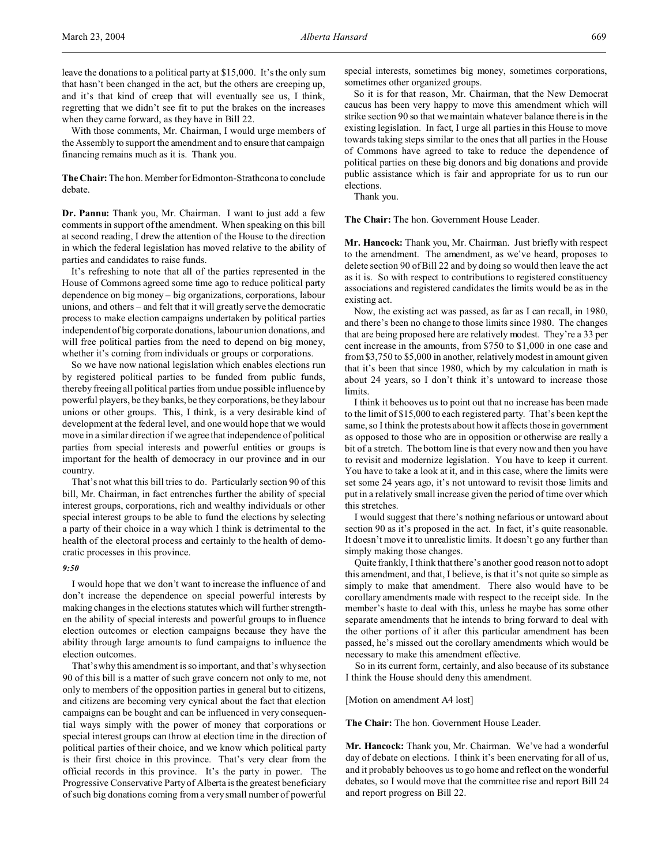With those comments, Mr. Chairman, I would urge members of the Assembly to support the amendment and to ensure that campaign financing remains much as it is. Thank you.

**The Chair:** The hon. Member for Edmonton-Strathcona to conclude debate.

**Dr. Pannu:** Thank you, Mr. Chairman. I want to just add a few comments in support of the amendment. When speaking on this bill at second reading, I drew the attention of the House to the direction in which the federal legislation has moved relative to the ability of parties and candidates to raise funds.

It's refreshing to note that all of the parties represented in the House of Commons agreed some time ago to reduce political party dependence on big money – big organizations, corporations, labour unions, and others – and felt that it will greatly serve the democratic process to make election campaigns undertaken by political parties independent of big corporate donations, labour union donations, and will free political parties from the need to depend on big money, whether it's coming from individuals or groups or corporations.

So we have now national legislation which enables elections run by registered political parties to be funded from public funds, thereby freeing all political parties from undue possible influence by powerful players, be they banks, be they corporations, be they labour unions or other groups. This, I think, is a very desirable kind of development at the federal level, and one would hope that we would move in a similar direction if we agree that independence of political parties from special interests and powerful entities or groups is important for the health of democracy in our province and in our country.

That's not what this bill tries to do. Particularly section 90 of this bill, Mr. Chairman, in fact entrenches further the ability of special interest groups, corporations, rich and wealthy individuals or other special interest groups to be able to fund the elections by selecting a party of their choice in a way which I think is detrimental to the health of the electoral process and certainly to the health of democratic processes in this province.

## *9:50*

I would hope that we don't want to increase the influence of and don't increase the dependence on special powerful interests by making changes in the elections statutes which will further strengthen the ability of special interests and powerful groups to influence election outcomes or election campaigns because they have the ability through large amounts to fund campaigns to influence the election outcomes.

That's why this amendment is so important, and that's why section 90 of this bill is a matter of such grave concern not only to me, not only to members of the opposition parties in general but to citizens, and citizens are becoming very cynical about the fact that election campaigns can be bought and can be influenced in very consequential ways simply with the power of money that corporations or special interest groups can throw at election time in the direction of political parties of their choice, and we know which political party is their first choice in this province. That's very clear from the official records in this province. It's the party in power. The Progressive Conservative Party of Alberta is the greatest beneficiary of such big donations coming from a very small number of powerful

special interests, sometimes big money, sometimes corporations, sometimes other organized groups.

So it is for that reason, Mr. Chairman, that the New Democrat caucus has been very happy to move this amendment which will strike section 90 so that we maintain whatever balance there is in the existing legislation. In fact, I urge all parties in this House to move towards taking steps similar to the ones that all parties in the House of Commons have agreed to take to reduce the dependence of political parties on these big donors and big donations and provide public assistance which is fair and appropriate for us to run our elections.

Thank you.

**The Chair:** The hon. Government House Leader.

**Mr. Hancock:** Thank you, Mr. Chairman. Just briefly with respect to the amendment. The amendment, as we've heard, proposes to delete section 90 of Bill 22 and by doing so would then leave the act as it is. So with respect to contributions to registered constituency associations and registered candidates the limits would be as in the existing act.

Now, the existing act was passed, as far as I can recall, in 1980, and there's been no change to those limits since 1980. The changes that are being proposed here are relatively modest. They're a 33 per cent increase in the amounts, from \$750 to \$1,000 in one case and from \$3,750 to \$5,000 in another, relatively modest in amount given that it's been that since 1980, which by my calculation in math is about 24 years, so I don't think it's untoward to increase those limits.

I think it behooves us to point out that no increase has been made to the limit of \$15,000 to each registered party. That's been kept the same, so I think the protests about how it affects those in government as opposed to those who are in opposition or otherwise are really a bit of a stretch. The bottom line is that every now and then you have to revisit and modernize legislation. You have to keep it current. You have to take a look at it, and in this case, where the limits were set some 24 years ago, it's not untoward to revisit those limits and put in a relatively small increase given the period of time over which this stretches.

I would suggest that there's nothing nefarious or untoward about section 90 as it's proposed in the act. In fact, it's quite reasonable. It doesn't move it to unrealistic limits. It doesn't go any further than simply making those changes.

Quite frankly, I think that there's another good reason not to adopt this amendment, and that, I believe, is that it's not quite so simple as simply to make that amendment. There also would have to be corollary amendments made with respect to the receipt side. In the member's haste to deal with this, unless he maybe has some other separate amendments that he intends to bring forward to deal with the other portions of it after this particular amendment has been passed, he's missed out the corollary amendments which would be necessary to make this amendment effective.

So in its current form, certainly, and also because of its substance I think the House should deny this amendment.

#### [Motion on amendment A4 lost]

**The Chair:** The hon. Government House Leader.

**Mr. Hancock:** Thank you, Mr. Chairman. We've had a wonderful day of debate on elections. I think it's been enervating for all of us, and it probably behooves us to go home and reflect on the wonderful debates, so I would move that the committee rise and report Bill 24 and report progress on Bill 22.